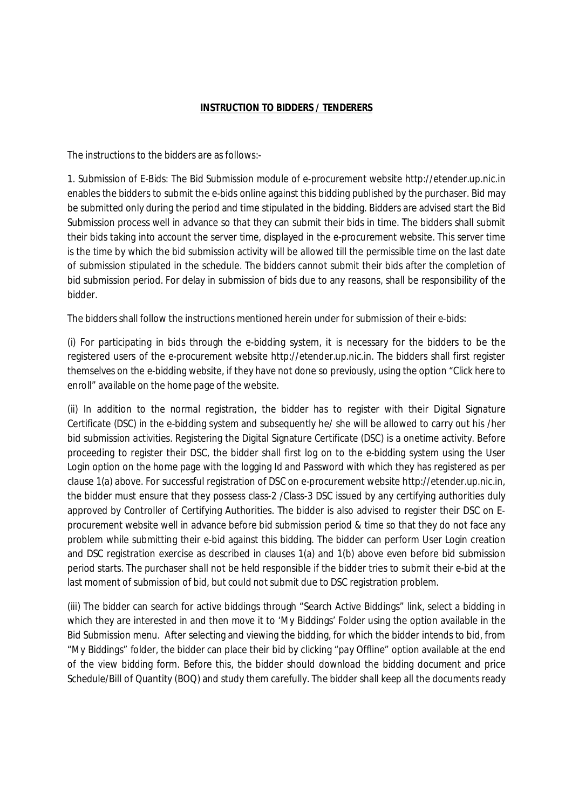## **INSTRUCTION TO BIDDERS / TENDERERS**

The instructions to the bidders are as follows:-

1. Submission of E-Bids: The Bid Submission module of e-procurement website http://etender.up.nic.in enables the bidders to submit the e-bids online against this bidding published by the purchaser. Bid may be submitted only during the period and time stipulated in the bidding. Bidders are advised start the Bid Submission process well in advance so that they can submit their bids in time. The bidders shall submit their bids taking into account the server time, displayed in the e-procurement website. This server time is the time by which the bid submission activity will be allowed till the permissible time on the last date of submission stipulated in the schedule. The bidders cannot submit their bids after the completion of bid submission period. For delay in submission of bids due to any reasons, shall be responsibility of the bidder.

The bidders shall follow the instructions mentioned herein under for submission of their e-bids:

(i) For participating in bids through the e-bidding system, it is necessary for the bidders to be the registered users of the e-procurement website http://etender.up.nic.in. The bidders shall first register themselves on the e-bidding website, if they have not done so previously, using the option "Click here to enroll" available on the home page of the website.

(ii) In addition to the normal registration, the bidder has to register with their Digital Signature Certificate (DSC) in the e-bidding system and subsequently he/ she will be allowed to carry out his /her bid submission activities. Registering the Digital Signature Certificate (DSC) is a onetime activity. Before proceeding to register their DSC, the bidder shall first log on to the e-bidding system using the User Login option on the home page with the logging Id and Password with which they has registered as per clause 1(a) above. For successful registration of DSC on e-procurement website http://etender.up.nic.in, the bidder must ensure that they possess class-2 /Class-3 DSC issued by any certifying authorities duly approved by Controller of Certifying Authorities. The bidder is also advised to register their DSC on Eprocurement website well in advance before bid submission period & time so that they do not face any problem while submitting their e-bid against this bidding. The bidder can perform User Login creation and DSC registration exercise as described in clauses 1(a) and 1(b) above even before bid submission period starts. The purchaser shall not be held responsible if the bidder tries to submit their e-bid at the last moment of submission of bid, but could not submit due to DSC registration problem.

(iii) The bidder can search for active biddings through "Search Active Biddings" link, select a bidding in which they are interested in and then move it to 'My Biddings' Folder using the option available in the Bid Submission menu. After selecting and viewing the bidding, for which the bidder intends to bid, from "My Biddings" folder, the bidder can place their bid by clicking "pay Offline" option available at the end of the view bidding form. Before this, the bidder should download the bidding document and price Schedule/Bill of Quantity (BOQ) and study them carefully. The bidder shall keep all the documents ready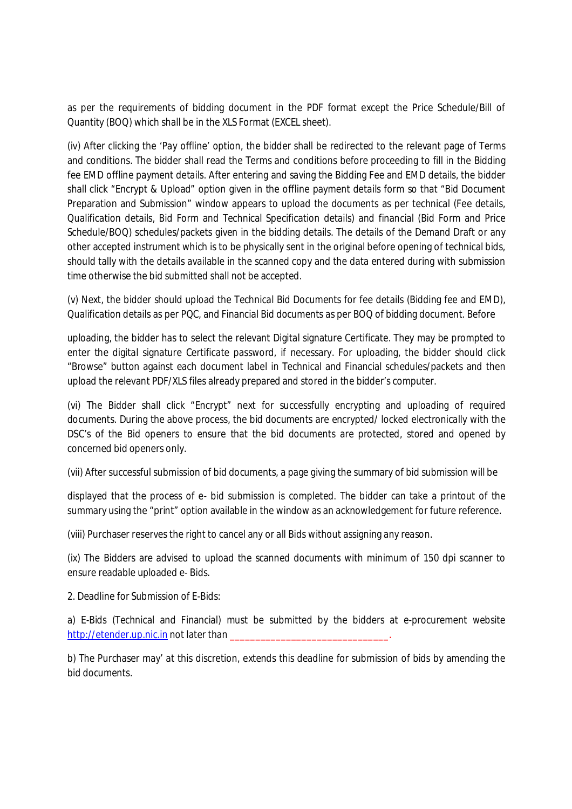as per the requirements of bidding document in the PDF format except the Price Schedule/Bill of Quantity (BOQ) which shall be in the XLS Format (EXCEL sheet).

(iv) After clicking the 'Pay offline' option, the bidder shall be redirected to the relevant page of Terms and conditions. The bidder shall read the Terms and conditions before proceeding to fill in the Bidding fee EMD offline payment details. After entering and saving the Bidding Fee and EMD details, the bidder shall click "Encrypt & Upload" option given in the offline payment details form so that "Bid Document Preparation and Submission" window appears to upload the documents as per technical (Fee details, Qualification details, Bid Form and Technical Specification details) and financial (Bid Form and Price Schedule/BOQ) schedules/packets given in the bidding details. The details of the Demand Draft or any other accepted instrument which is to be physically sent in the original before opening of technical bids, should tally with the details available in the scanned copy and the data entered during with submission time otherwise the bid submitted shall not be accepted.

(v) Next, the bidder should upload the Technical Bid Documents for fee details (Bidding fee and EMD), Qualification details as per PQC, and Financial Bid documents as per BOQ of bidding document. Before

uploading, the bidder has to select the relevant Digital signature Certificate. They may be prompted to enter the digital signature Certificate password, if necessary. For uploading, the bidder should click "Browse" button against each document label in Technical and Financial schedules/packets and then upload the relevant PDF/XLS files already prepared and stored in the bidder's computer.

(vi) The Bidder shall click "Encrypt" next for successfully encrypting and uploading of required documents. During the above process, the bid documents are encrypted/ locked electronically with the DSC's of the Bid openers to ensure that the bid documents are protected, stored and opened by concerned bid openers only.

(vii) After successful submission of bid documents, a page giving the summary of bid submission will be

displayed that the process of e- bid submission is completed. The bidder can take a printout of the summary using the "print" option available in the window as an acknowledgement for future reference.

(viii) Purchaser reserves the right to cancel any or all Bids without assigning any reason.

(ix) The Bidders are advised to upload the scanned documents with minimum of 150 dpi scanner to ensure readable uploaded e- Bids.

2. Deadline for Submission of E-Bids:

a) E-Bids (Technical and Financial) must be submitted by the bidders at e-procurement website http://etender.up.nic.in not later than

b) The Purchaser may' at this discretion, extends this deadline for submission of bids by amending the bid documents.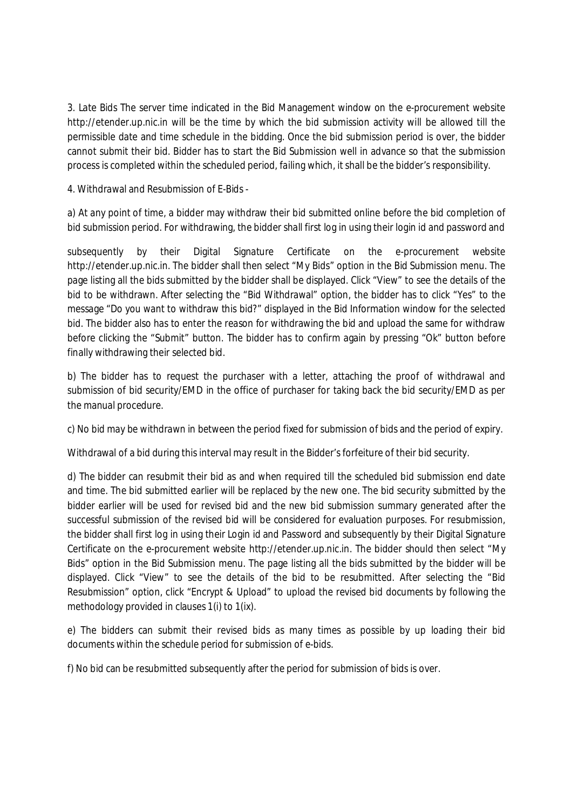3. Late Bids The server time indicated in the Bid Management window on the e-procurement website http://etender.up.nic.in will be the time by which the bid submission activity will be allowed till the permissible date and time schedule in the bidding. Once the bid submission period is over, the bidder cannot submit their bid. Bidder has to start the Bid Submission well in advance so that the submission process is completed within the scheduled period, failing which, itshall be the bidder's responsibility.

4. Withdrawal and Resubmission of E-Bids -

a) At any point of time, a bidder may withdraw their bid submitted online before the bid completion of bid submission period. For withdrawing, the bidder shall first log in using their login id and password and

subsequently by their Digital Signature Certificate on the e-procurement website http://etender.up.nic.in. The bidder shall then select "My Bids" option in the Bid Submission menu. The page listing all the bids submitted by the bidder shall be displayed. Click "View" to see the details of the bid to be withdrawn. After selecting the "Bid Withdrawal" option, the bidder has to click "Yes" to the message "Do you want to withdraw this bid?" displayed in the Bid Information window for the selected bid. The bidder also has to enter the reason for withdrawing the bid and upload the same for withdraw before clicking the "Submit" button. The bidder has to confirm again by pressing "Ok" button before finally withdrawing their selected bid.

b) The bidder has to request the purchaser with a letter, attaching the proof of withdrawal and submission of bid security/EMD in the office of purchaser for taking back the bid security/EMD as per the manual procedure.

c) No bid may be withdrawn in between the period fixed for submission of bids and the period of expiry.

Withdrawal of a bid during this interval may result in the Bidder's forfeiture of their bid security.

d) The bidder can resubmit their bid as and when required till the scheduled bid submission end date and time. The bid submitted earlier will be replaced by the new one. The bid security submitted by the bidder earlier will be used for revised bid and the new bid submission summary generated after the successful submission of the revised bid will be considered for evaluation purposes. For resubmission, the bidder shall first log in using their Login id and Password and subsequently by their Digital Signature Certificate on the e-procurement website http://etender.up.nic.in. The bidder should then select "My Bids" option in the Bid Submission menu. The page listing all the bids submitted by the bidder will be displayed. Click "View" to see the details of the bid to be resubmitted. After selecting the "Bid Resubmission" option, click "Encrypt & Upload" to upload the revised bid documents by following the methodology provided in clauses 1(i) to 1(ix).

e) The bidders can submit their revised bids as many times as possible by up loading their bid documents within the schedule period for submission of e-bids.

f) No bid can be resubmitted subsequently after the period for submission of bids is over.